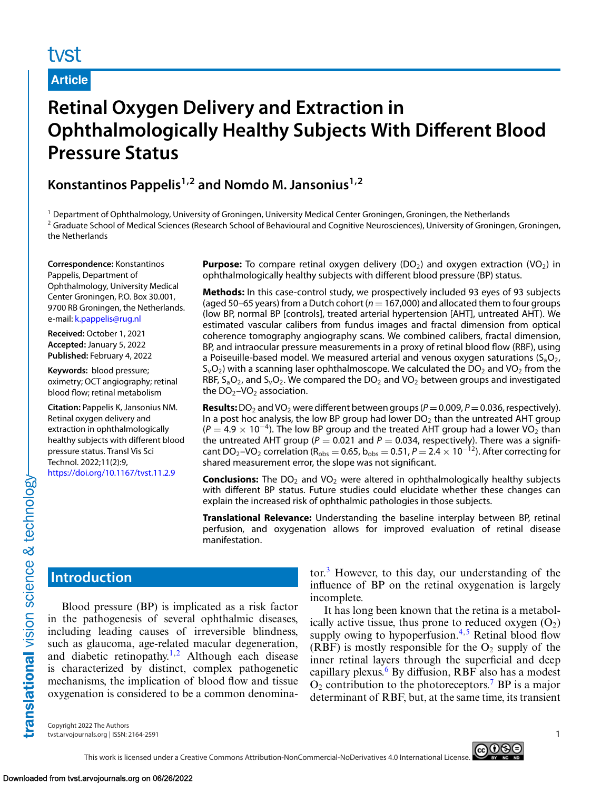# **Article**

# **Retinal Oxygen Delivery and Extraction in Ophthalmologically Healthy Subjects With Different Blood Pressure Status**

**Konstantinos Pappelis1,2 and Nomdo M. Jansonius1,2**

<sup>1</sup> Department of Ophthalmology, University of Groningen, University Medical Center Groningen, Groningen, the Netherlands <sup>2</sup> Graduate School of Medical Sciences (Research School of Behavioural and Cognitive Neurosciences), University of Groningen, Groningen, the Netherlands

**Correspondence:** Konstantinos Pappelis, Department of Ophthalmology, University Medical Center Groningen, P.O. Box 30.001, 9700 RB Groningen, the Netherlands. e-mail: [k.pappelis@rug.nl](mailto:k.pappelis@rug.nl)

**Received:** October 1, 2021 **Accepted:** January 5, 2022 **Published:** February 4, 2022

**Keywords:** blood pressure; oximetry; OCT angiography; retinal blood flow; retinal metabolism

**Citation:** Pappelis K, Jansonius NM. Retinal oxygen delivery and extraction in ophthalmologically healthy subjects with different blood pressure status. Transl Vis Sci Technol. 2022;11(2):9, <https://doi.org/10.1167/tvst.11.2.9>

**Purpose:** To compare retinal oxygen delivery  $(DO_2)$  and oxygen extraction  $(VO_2)$  in ophthalmologically healthy subjects with different blood pressure (BP) status.

**Methods:** In this case-control study, we prospectively included 93 eyes of 93 subjects (aged 50–65 years) from a Dutch cohort ( $n = 167,000$ ) and allocated them to four groups (low BP, normal BP [controls], treated arterial hypertension [AHT], untreated AHT). We estimated vascular calibers from fundus images and fractal dimension from optical coherence tomography angiography scans. We combined calibers, fractal dimension, BP, and intraocular pressure measurements in a proxy of retinal blood flow (RBF), using a Poiseuille-based model. We measured arterial and venous oxygen saturations  $(S_aO_2)$ ,  $S_vO_2$ ) with a scanning laser ophthalmoscope. We calculated the DO<sub>2</sub> and VO<sub>2</sub> from the RBF,  $S_aO_2$ , and  $S_vO_2$ . We compared the DO<sub>2</sub> and VO<sub>2</sub> between groups and investigated the  $DO<sub>2</sub>$ –VO<sub>2</sub> association.

**Results:** DO<sub>2</sub> and VO<sub>2</sub> were different between groups ( $P = 0.009$ ,  $P = 0.036$ , respectively). In a post hoc analysis, the low BP group had lower  $DO<sub>2</sub>$  than the untreated AHT group  $(P = 4.9 \times 10^{-4})$ . The low BP group and the treated AHT group had a lower VO<sub>2</sub> than the untreated AHT group ( $P = 0.021$  and  $P = 0.034$ , respectively). There was a significant DO<sub>2</sub>–VO<sub>2</sub> correlation (R<sub>obs</sub> = 0.65, b<sub>obs</sub> = 0.51, *P* = 2.4 × 10<sup>-12</sup>). After correcting for shared measurement error, the slope was not significant.

**Conclusions:** The DO<sub>2</sub> and VO<sub>2</sub> were altered in ophthalmologically healthy subjects with different BP status. Future studies could elucidate whether these changes can explain the increased risk of ophthalmic pathologies in those subjects.

**Translational Relevance:** Understanding the baseline interplay between BP, retinal perfusion, and oxygenation allows for improved evaluation of retinal disease manifestation.

# **Introduction**

Blood pressure (BP) is implicated as a risk factor in the pathogenesis of several ophthalmic diseases, including leading causes of irreversible blindness, such as glaucoma, age-related macular degeneration, and diabetic retinopathy.<sup>[1,2](#page-9-0)</sup> Although each disease is characterized by distinct, complex pathogenetic mechanisms, the implication of blood flow and tissue oxygenation is considered to be a common denominator. $3$  However, to this day, our understanding of the influence of BP on the retinal oxygenation is largely incomplete.

It has long been known that the retina is a metabolically active tissue, thus prone to reduced oxygen  $(O_2)$ supply owing to hypoperfusion. $4.5$  Retinal blood flow (RBF) is mostly responsible for the  $O_2$  supply of the inner retinal layers through the superficial and deep capillary plexus. $6$  By diffusion, RBF also has a modest  $O_2$  contribution to the photoreceptors.<sup>[7](#page-9-0)</sup> BP is a major determinant of RBF, but, at the same time, its transient

Copyright 2022 The Authors tvst.arvojournals.org | ISSN: 2164-2591 1

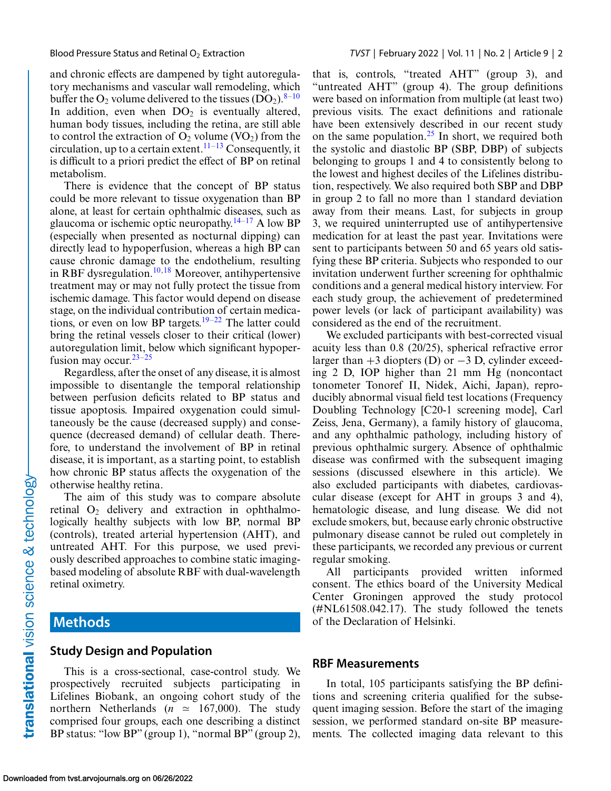and chronic effects are dampened by tight autoregulatory mechanisms and vascular wall remodeling, which buffer the  $O_2$  volume delivered to the tissues  $(DO_2)$ .<sup>[8–10](#page-9-0)</sup> In addition, even when  $DO<sub>2</sub>$  is eventually altered, human body tissues, including the retina, are still able to control the extraction of  $O_2$  volume (VO<sub>2</sub>) from the circulation, up to a certain extent.<sup>[11–13](#page-9-0)</sup> Consequently, it is difficult to a priori predict the effect of BP on retinal metabolism.

There is evidence that the concept of BP status could be more relevant to tissue oxygenation than BP alone, at least for certain ophthalmic diseases, such as glaucoma or ischemic optic neuropathy.<sup>14–[17](#page-10-0)</sup> A low BP (especially when presented as nocturnal dipping) can directly lead to hypoperfusion, whereas a high BP can cause chronic damage to the endothelium, resulting in RBF dysregulation.<sup>10[,18](#page-10-0)</sup> Moreover, antihypertensive treatment may or may not fully protect the tissue from ischemic damage. This factor would depend on disease stage, on the individual contribution of certain medications, or even on low BP targets.<sup>19–22</sup> The latter could bring the retinal vessels closer to their critical (lower) autoregulation limit, below which significant hypoperfusion may occur.  $23-25$ 

Regardless, after the onset of any disease, it is almost impossible to disentangle the temporal relationship between perfusion deficits related to BP status and tissue apoptosis. Impaired oxygenation could simultaneously be the cause (decreased supply) and consequence (decreased demand) of cellular death. Therefore, to understand the involvement of BP in retinal disease, it is important, as a starting point, to establish how chronic BP status affects the oxygenation of the otherwise healthy retina.

The aim of this study was to compare absolute retinal  $O_2$  delivery and extraction in ophthalmologically healthy subjects with low BP, normal BP (controls), treated arterial hypertension (AHT), and untreated AHT. For this purpose, we used previously described approaches to combine static imagingbased modeling of absolute RBF with dual-wavelength retinal oximetry.

# **Methods**

#### **Study Design and Population**

This is a cross-sectional, case-control study. We prospectively recruited subjects participating in Lifelines Biobank, an ongoing cohort study of the northern Netherlands ( $n \approx 167,000$ ). The study comprised four groups, each one describing a distinct BP status: "low BP" (group 1), "normal BP" (group 2), that is, controls, "treated AHT" (group 3), and "untreated AHT" (group 4). The group definitions were based on information from multiple (at least two) previous visits. The exact definitions and rationale have been extensively described in our recent study on the same population.[25](#page-10-0) In short, we required both the systolic and diastolic BP (SBP, DBP) of subjects belonging to groups 1 and 4 to consistently belong to the lowest and highest deciles of the Lifelines distribution, respectively. We also required both SBP and DBP in group 2 to fall no more than 1 standard deviation away from their means. Last, for subjects in group 3, we required uninterrupted use of antihypertensive medication for at least the past year. Invitations were sent to participants between 50 and 65 years old satisfying these BP criteria. Subjects who responded to our invitation underwent further screening for ophthalmic conditions and a general medical history interview. For each study group, the achievement of predetermined power levels (or lack of participant availability) was considered as the end of the recruitment.

We excluded participants with best-corrected visual acuity less than 0.8 (20/25), spherical refractive error larger than  $+3$  diopters (D) or  $-3$  D, cylinder exceeding 2 D, IOP higher than 21 mm Hg (noncontact tonometer Tonoref II, Nidek, Aichi, Japan), reproducibly abnormal visual field test locations (Frequency Doubling Technology [C20-1 screening mode], Carl Zeiss, Jena, Germany), a family history of glaucoma, and any ophthalmic pathology, including history of previous ophthalmic surgery. Absence of ophthalmic disease was confirmed with the subsequent imaging sessions (discussed elsewhere in this article). We also excluded participants with diabetes, cardiovascular disease (except for AHT in groups 3 and 4), hematologic disease, and lung disease. We did not exclude smokers, but, because early chronic obstructive pulmonary disease cannot be ruled out completely in these participants, we recorded any previous or current regular smoking.

All participants provided written informed consent. The ethics board of the University Medical Center Groningen approved the study protocol (#NL61508.042.17). The study followed the tenets of the Declaration of Helsinki.

#### **RBF Measurements**

In total, 105 participants satisfying the BP definitions and screening criteria qualified for the subsequent imaging session. Before the start of the imaging session, we performed standard on-site BP measurements. The collected imaging data relevant to this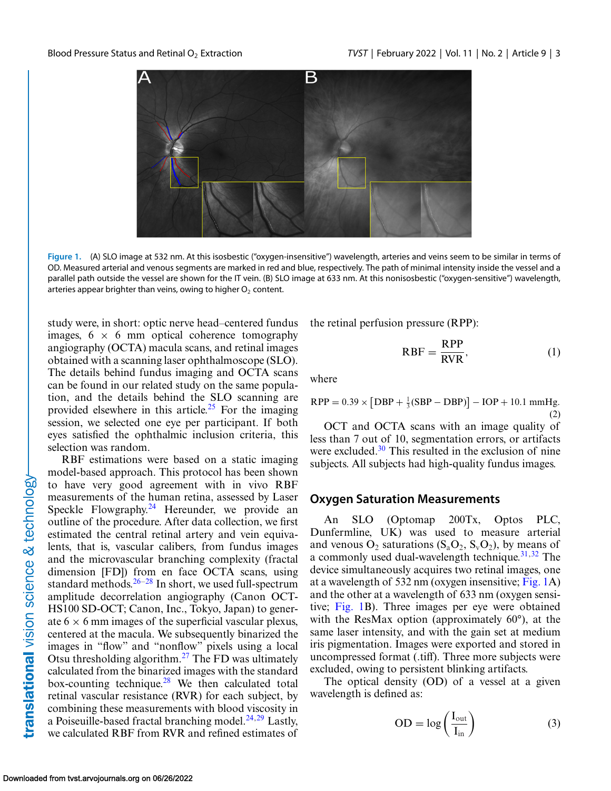<span id="page-2-0"></span>

**Figure 1.** (A) SLO image at 532 nm. At this isosbestic ("oxygen-insensitive") wavelength, arteries and veins seem to be similar in terms of OD. Measured arterial and venous segments are marked in red and blue, respectively. The path of minimal intensity inside the vessel and a parallel path outside the vessel are shown for the IT vein. (B) SLO image at 633 nm. At this nonisosbestic ("oxygen-sensitive") wavelength, arteries appear brighter than veins, owing to higher  $O<sub>2</sub>$  content.

study were, in short: optic nerve head–centered fundus images,  $6 \times 6$  mm optical coherence tomography angiography (OCTA) macula scans, and retinal images obtained with a scanning laser ophthalmoscope (SLO). The details behind fundus imaging and OCTA scans can be found in our related study on the same population, and the details behind the SLO scanning are provided elsewhere in this article.<sup>[25](#page-10-0)</sup> For the imaging session, we selected one eye per participant. If both eyes satisfied the ophthalmic inclusion criteria, this selection was random.

RBF estimations were based on a static imaging model-based approach. This protocol has been shown to have very good agreement with in vivo RBF measurements of the human retina, assessed by Laser Speckle Flowgraphy.<sup>24</sup> Hereunder, we provide an outline of the procedure. After data collection, we first estimated the central retinal artery and vein equivalents, that is, vascular calibers, from fundus images and the microvascular branching complexity (fractal dimension [FD]) from en face OCTA scans, using standard methods. $26-28$  In short, we used full-spectrum amplitude decorrelation angiography (Canon OCT-HS100 SD-OCT; Canon, Inc., Tokyo, Japan) to generate  $6 \times 6$  mm images of the superficial vascular plexus, centered at the macula. We subsequently binarized the images in "flow" and "nonflow" pixels using a local Otsu thresholding algorithm.[27](#page-10-0) The FD was ultimately calculated from the binarized images with the standard box-counting technique.<sup>28</sup> We then calculated total retinal vascular resistance (RVR) for each subject, by combining these measurements with blood viscosity in a Poiseuille-based fractal branching model. $^{24,29}$  Lastly, we calculated RBF from RVR and refined estimates of

the retinal perfusion pressure (RPP):

$$
RBF = \frac{RPP}{RVR},\tag{1}
$$

where

$$
RPP = 0.39 \times [DBP + \frac{1}{3}(SBP - DBP)] - IOP + 10.1 \text{ mmHg.}
$$
\n(2)

OCT and OCTA scans with an image quality of less than 7 out of 10, segmentation errors, or artifacts were excluded. $30$  This resulted in the exclusion of nine subjects. All subjects had high-quality fundus images.

#### **Oxygen Saturation Measurements**

An SLO (Optomap 200Tx, Optos PLC, Dunfermline, UK) was used to measure arterial and venous  $O_2$  saturations  $(S_a O_2, S_v O_2)$ , by means of a commonly used dual-wavelength technique. $31,32$  The device simultaneously acquires two retinal images, one at a wavelength of 532 nm (oxygen insensitive; Fig. 1A) and the other at a wavelength of 633 nm (oxygen sensitive; Fig. 1B). Three images per eye were obtained with the ResMax option (approximately 60°), at the same laser intensity, and with the gain set at medium iris pigmentation. Images were exported and stored in uncompressed format (.tiff). Three more subjects were excluded, owing to persistent blinking artifacts.

The optical density (OD) of a vessel at a given wavelength is defined as:

$$
OD = \log\left(\frac{I_{\text{out}}}{I_{\text{in}}}\right) \tag{3}
$$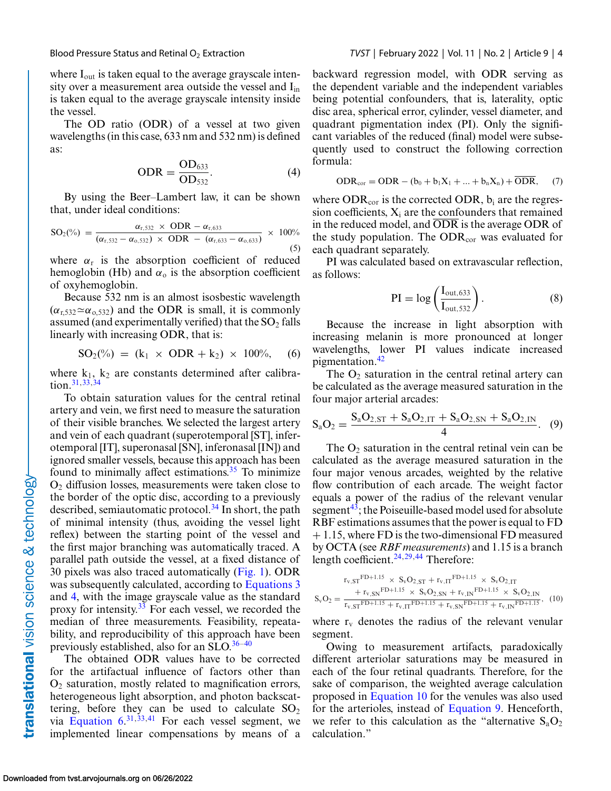<span id="page-3-0"></span>

where I<sub>out</sub> is taken equal to the average grayscale intensity over a measurement area outside the vessel and I<sub>in</sub> is taken equal to the average grayscale intensity inside the vessel.

The OD ratio (ODR) of a vessel at two given wavelengths (in this case, 633 nm and 532 nm) is defined as:

$$
ODR = \frac{OD_{633}}{OD_{532}}.
$$
 (4)

By using the Beer–Lambert law, it can be shown that, under ideal conditions:

$$
SO_{2}(\%) = \frac{\alpha_{r,532} \times ODR - \alpha_{r,633}}{(\alpha_{r,532} - \alpha_{o,532}) \times ODR - (\alpha_{r,633} - \alpha_{o,633})} \times 100\%
$$
\n(5)

where  $\alpha_r$  is the absorption coefficient of reduced hemoglobin (Hb) and  $\alpha_0$  is the absorption coefficient of oxyhemoglobin.

Because 532 nm is an almost isosbestic wavelength  $(\alpha_{r,532} \simeq \alpha_{0,532})$  and the ODR is small, it is commonly assumed (and experimentally verified) that the  $SO_2$  falls linearly with increasing ODR, that is:

$$
SO_2(\%) = (k_1 \times ODR + k_2) \times 100\%, \quad (6)
$$

where  $k_1$ ,  $k_2$  are constants determined after calibration[.31,33,34](#page-10-0)

To obtain saturation values for the central retinal artery and vein, we first need to measure the saturation of their visible branches. We selected the largest artery and vein of each quadrant (superotemporal [ST], inferotemporal [IT], superonasal [SN], inferonasal [IN]) and ignored smaller vessels, because this approach has been found to minimally affect estimations. $35$  To minimize  $O<sub>2</sub>$  diffusion losses, measurements were taken close to the border of the optic disc, according to a previously described, semiautomatic protocol.<sup>34</sup> In short, the path of minimal intensity (thus, avoiding the vessel light reflex) between the starting point of the vessel and the first major branching was automatically traced. A parallel path outside the vessel, at a fixed distance of 30 pixels was also traced automatically [\(Fig. 1\)](#page-2-0). ODR was subsequently calculated, according to [Equations 3](#page-2-0) and 4, with the image grayscale value as the standard proxy for intensity.<sup>33</sup> For each vessel, we recorded the median of three measurements. Feasibility, repeatability, and reproducibility of this approach have been previously established, also for an SLO. $36-40$ 

The obtained ODR values have to be corrected for the artifactual influence of factors other than  $O<sub>2</sub>$  saturation, mostly related to magnification errors, heterogeneous light absorption, and photon backscattering, before they can be used to calculate  $SO_2$ via Equation  $6^{31,33,41}$  $6^{31,33,41}$  $6^{31,33,41}$  $6^{31,33,41}$  For each vessel segment, we implemented linear compensations by means of a backward regression model, with ODR serving as the dependent variable and the independent variables being potential confounders, that is, laterality, optic disc area, spherical error, cylinder, vessel diameter, and quadrant pigmentation index (PI). Only the significant variables of the reduced (final) model were subsequently used to construct the following correction formula:

$$
ODR_{cor} = ODR - (b_0 + b_1X_1 + \dots + b_nX_n) + \overline{ODR}, \qquad (7)
$$

where  $ODR_{cor}$  is the corrected ODR,  $b_i$  are the regression coefficients,  $X_i$  are the confounders that remained in the reduced model, and ODR is the average ODR of the study population. The  $ODR_{cor}$  was evaluated for each quadrant separately.

PI was calculated based on extravascular reflection, as follows:

$$
PI = \log\left(\frac{I_{\text{out},633}}{I_{\text{out},532}}\right). \tag{8}
$$

Because the increase in light absorption with increasing melanin is more pronounced at longer wavelengths, lower PI values indicate increased pigmentation.<sup>[42](#page-11-0)</sup>

The  $O_2$  saturation in the central retinal artery can be calculated as the average measured saturation in the four major arterial arcades:

$$
S_aO_2 = \frac{S_aO_{2,ST} + S_aO_{2,IT} + S_aO_{2,SN} + S_aO_{2,IN}}{4}.
$$
 (9)

The  $O_2$  saturation in the central retinal vein can be calculated as the average measured saturation in the four major venous arcades, weighted by the relative flow contribution of each arcade. The weight factor equals a power of the radius of the relevant venular segment<sup>43</sup>; the Poiseuille-based model used for absolute RBF estimations assumes that the power is equal to FD + 1.15, where FD is the two-dimensional FD measured by OCTA (see *RBF measurements*) and 1.15 is a branch length coefficient. $24,29,44$  $24,29,44$  Therefore:

$$
S_{v}O_{2} = \frac{r_{v,ST} F^{D+1.15} \times S_{v} O_{2,ST} + r_{v,IT} F^{D+1.15} \times S_{v} O_{2,IT}}{r_{v,ST} F^{D+1.15} \times S_{v} O_{2,SN} + r_{v,IN} F^{D+1.15} \times S_{v} O_{2,IN}},
$$
 (10)

where  $r_v$  denotes the radius of the relevant venular segment.

Owing to measurement artifacts, paradoxically different arteriolar saturations may be measured in each of the four retinal quadrants. Therefore, for the sake of comparison, the weighted average calculation proposed in Equation 10 for the venules was also used for the arterioles, instead of Equation 9. Henceforth, we refer to this calculation as the "alternative  $S_aO_2$ " calculation."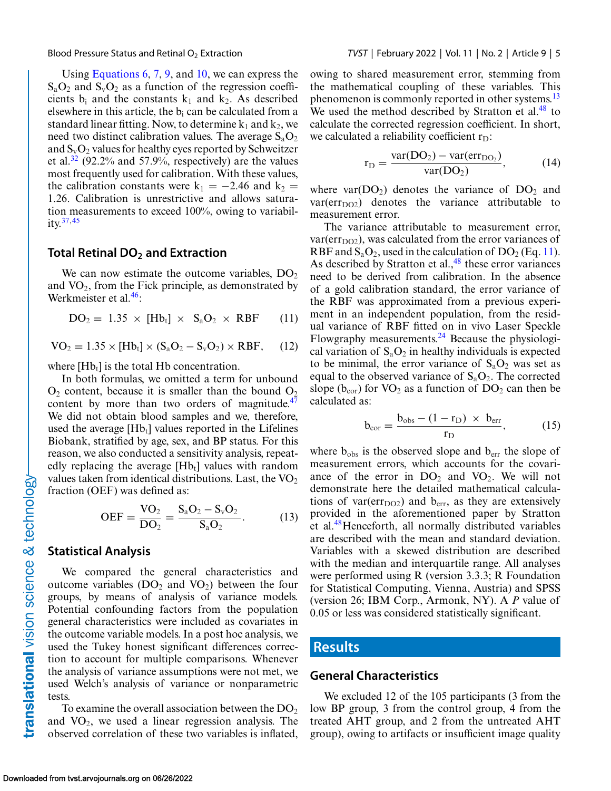<span id="page-4-0"></span>

Using [Equations 6,](#page-3-0) [7,](#page-3-0) [9,](#page-3-0) and [10,](#page-3-0) we can express the  $S_aO_2$  and  $S_vO_2$  as a function of the regression coefficients  $b_i$  and the constants  $k_1$  and  $k_2$ . As described elsewhere in this article, the  $b_i$  can be calculated from a standard linear fitting. Now, to determine  $k_1$  and  $k_2$ , we need two distinct calibration values. The average  $S_aO_2$ and  $S_vO_2$  values for healthy eyes reported by Schweitzer et al.<sup>[32](#page-10-0)</sup> (92.2% and 57.9%, respectively) are the values most frequently used for calibration. With these values, the calibration constants were  $k_1 = -2.46$  and  $k_2 =$ 1.26. Calibration is unrestrictive and allows saturation measurements to exceed 100%, owing to variability[.37,](#page-10-0)[45](#page-11-0)

#### **Total Retinal DO2 and Extraction**

We can now estimate the outcome variables,  $DO<sub>2</sub>$ and  $VO<sub>2</sub>$ , from the Fick principle, as demonstrated by Werkmeister et al.<sup>46</sup>:

$$
DO2 = 1.35 \times [Hbt] \times SaO2 \times RBF \qquad (11)
$$

$$
VO2 = 1.35 \times [Hbt] \times (SaO2 - SvO2) \times RBF, \quad (12)
$$

where  $[Hb_t]$  is the total Hb concentration.

In both formulas, we omitted a term for unbound  $O_2$  content, because it is smaller than the bound  $O_2$ content by more than two orders of magnitude. $47$ We did not obtain blood samples and we, therefore, used the average  $[Hb_t]$  values reported in the Lifelines Biobank, stratified by age, sex, and BP status. For this reason, we also conducted a sensitivity analysis, repeatedly replacing the average  $[Hb_t]$  values with random values taken from identical distributions. Last, the  $VO<sub>2</sub>$ fraction (OEF) was defined as:

$$
OEF = \frac{VO_2}{DO_2} = \frac{S_aO_2 - S_vO_2}{S_aO_2}.
$$
 (13)

#### **Statistical Analysis**

We compared the general characteristics and outcome variables ( $DO<sub>2</sub>$  and  $VO<sub>2</sub>$ ) between the four groups, by means of analysis of variance models. Potential confounding factors from the population general characteristics were included as covariates in the outcome variable models. In a post hoc analysis, we used the Tukey honest significant differences correction to account for multiple comparisons. Whenever the analysis of variance assumptions were not met, we used Welch's analysis of variance or nonparametric tests.

To examine the overall association between the  $DO<sub>2</sub>$ and  $VO_2$ , we used a linear regression analysis. The observed correlation of these two variables is inflated,

owing to shared measurement error, stemming from the mathematical coupling of these variables. This phenomenon is commonly reported in other systems.<sup>13</sup> We used the method described by Stratton et al. $48$  to calculate the corrected regression coefficient. In short, we calculated a reliability coefficient  $r_D$ :

$$
r_{D} = \frac{var(DO_{2}) - var(err_{DO_{2}})}{var(DO_{2})},
$$
\n(14)

where var( $DO<sub>2</sub>$ ) denotes the variance of  $DO<sub>2</sub>$  and  $var(err<sub>DO2</sub>)$  denotes the variance attributable to measurement error.

The variance attributable to measurement error,  $var(err<sub>DO2</sub>)$ , was calculated from the error variances of RBF and  $S_aO_2$ , used in the calculation of  $DO_2$  (Eq. 11). As described by Stratton et al., $48$  these error variances need to be derived from calibration. In the absence of a gold calibration standard, the error variance of the RBF was approximated from a previous experiment in an independent population, from the residual variance of RBF fitted on in vivo Laser Speckle Flowgraphy measurements. $^{24}$  Because the physiological variation of  $S_aO_2$  in healthy individuals is expected to be minimal, the error variance of  $S_aO_2$  was set as equal to the observed variance of  $S_aO_2$ . The corrected slope ( $b_{cor}$ ) for VO<sub>2</sub> as a function of DO<sub>2</sub> can then be calculated as:

$$
b_{\text{cor}} = \frac{b_{\text{obs}} - (1 - r_{\text{D}}) \times b_{\text{err}}}{r_{\text{D}}},\tag{15}
$$

where  $b_{obs}$  is the observed slope and  $b_{err}$  the slope of measurement errors, which accounts for the covariance of the error in  $DO<sub>2</sub>$  and  $VO<sub>2</sub>$ . We will not demonstrate here the detailed mathematical calculations of var( $err<sub>DO2</sub>$ ) and  $b<sub>err</sub>$ , as they are extensively provided in the aforementioned paper by Stratton et al.[48H](#page-11-0)enceforth, all normally distributed variables are described with the mean and standard deviation. Variables with a skewed distribution are described with the median and interquartile range. All analyses were performed using R (version 3.3.3; R Foundation for Statistical Computing, Vienna, Austria) and SPSS (version 26; IBM Corp., Armonk, NY). A *P* value of 0.05 or less was considered statistically significant.

#### **Results**

#### **General Characteristics**

We excluded 12 of the 105 participants (3 from the low BP group, 3 from the control group, 4 from the treated AHT group, and 2 from the untreated AHT group), owing to artifacts or insufficient image quality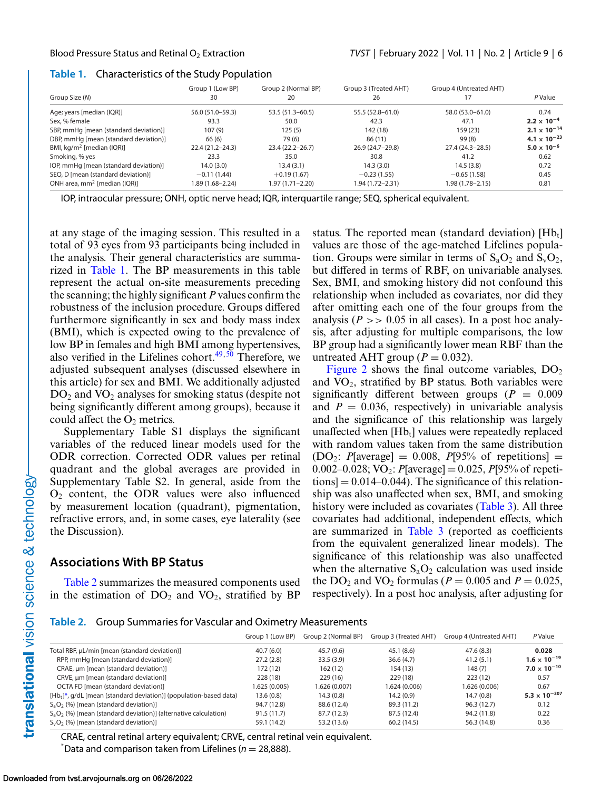#### **Table 1.** Characteristics of the Study Population

|                                       | Group 1 (Low BP)    | Group 2 (Normal BP) | Group 3 (Treated AHT) | Group 4 (Untreated AHT) |                                |
|---------------------------------------|---------------------|---------------------|-----------------------|-------------------------|--------------------------------|
| Group Size (N)                        | 30                  | 20                  | 26                    |                         | P Value                        |
| Age; years [median (IQR)]             | 56.0 (51.0–59.3)    | $53.5(51.3 - 60.5)$ | 55.5 (52.8-61.0)      | 58.0 (53.0-61.0)        | 0.74                           |
| Sex, % female                         | 93.3                | 50.0                | 42.3                  | 47.1                    | $2.2 \times 10^{-4}$           |
| SBP, mmHg [mean (standard deviation)] | 107(9)              | 125(5)              | 142 (18)              | 159 (23)                | $2.1 \times 10^{-14}$          |
| DBP, mmHg [mean (standard deviation)] | 66 (6)              | 79 (6)              | 86(11)                | 99(8)                   | 4.1 $\times$ 10 <sup>-23</sup> |
| BMI, $kq/m^2$ [median (IQR)]          | $22.4(21.2 - 24.3)$ | $23.4(22.2 - 26.7)$ | 26.9 (24.7-29.8)      | 27.4 (24.3-28.5)        | $5.0 \times 10^{-6}$           |
| Smoking, % yes                        | 23.3                | 35.0                | 30.8                  | 41.2                    | 0.62                           |
| IOP, mmHg [mean (standard deviation)] | 14.0(3.0)           | 13.4(3.1)           | 14.3(3.0)             | 14.5(3.8)               | 0.72                           |
| SEQ, D [mean (standard deviation)]    | $-0.11(1.44)$       | $+0.19(1.67)$       | $-0.23(1.55)$         | $-0.65(1.58)$           | 0.45                           |
| ONH area, $mm^2$ [median (IQR)]       | 1.89 (1.68–2.24)    | 1.97 (1.71–2.20)    | 1.94 (1.72–2.31)      | 1.98 (1.78-2.15)        | 0.81                           |

IOP, intraocular pressure; ONH, optic nerve head; IQR, interquartile range; SEQ, spherical equivalent.

at any stage of the imaging session. This resulted in a total of 93 eyes from 93 participants being included in the analysis. Their general characteristics are summarized in Table 1. The BP measurements in this table represent the actual on-site measurements preceding the scanning; the highly significant *P* values confirm the robustness of the inclusion procedure. Groups differed furthermore significantly in sex and body mass index (BMI), which is expected owing to the prevalence of low BP in females and high BMI among hypertensives, also verified in the Lifelines cohort. $49,50$  Therefore, we adjusted subsequent analyses (discussed elsewhere in this article) for sex and BMI. We additionally adjusted  $DO<sub>2</sub>$  and  $VO<sub>2</sub>$  analyses for smoking status (despite not being significantly different among groups), because it could affect the  $O<sub>2</sub>$  metrics.

Supplementary Table S1 displays the significant variables of the reduced linear models used for the ODR correction. Corrected ODR values per retinal quadrant and the global averages are provided in Supplementary Table S2. In general, aside from the  $O<sub>2</sub>$  content, the ODR values were also influenced by measurement location (quadrant), pigmentation, refractive errors, and, in some cases, eye laterality (see the Discussion).

### **Associations With BP Status**

Table 2 summarizes the measured components used in the estimation of  $DO<sub>2</sub>$  and  $VO<sub>2</sub>$ , stratified by BP status. The reported mean (standard deviation)  $[Hb_t]$ values are those of the age-matched Lifelines population. Groups were similar in terms of  $S_aO_2$  and  $S_vO_2$ , but differed in terms of RBF, on univariable analyses. Sex, BMI, and smoking history did not confound this relationship when included as covariates, nor did they after omitting each one of the four groups from the analysis ( $P \gg 0.05$  in all cases). In a post hoc analysis, after adjusting for multiple comparisons, the low BP group had a significantly lower mean RBF than the untreated AHT group ( $P = 0.032$ ).

[Figure 2](#page-6-0) shows the final outcome variables,  $DO<sub>2</sub>$ and  $VO<sub>2</sub>$ , stratified by BP status. Both variables were significantly different between groups  $(P = 0.009)$ and  $P = 0.036$ , respectively) in univariable analysis and the significance of this relationship was largely unaffected when  $[Hb_t]$  values were repeatedly replaced with random values taken from the same distribution  $(DO_2: P[average] = 0.008, P[95%$  of repetitions = 0.002–0.028; VO<sub>2</sub>: *P*[average] = 0.025, *P*[95% of repeti- $\text{tions}$  = 0.014–0.044). The significance of this relationship was also unaffected when sex, BMI, and smoking history were included as covariates [\(Table 3\)](#page-6-0). All three covariates had additional, independent effects, which are summarized in [Table 3](#page-6-0) (reported as coefficients from the equivalent generalized linear models). The significance of this relationship was also unaffected when the alternative  $S_aO_2$  calculation was used inside the DO<sub>2</sub> and VO<sub>2</sub> formulas ( $P = 0.005$  and  $P = 0.025$ , respectively). In a post hoc analysis, after adjusting for

**Table 2.** Group Summaries for Vascular and Oximetry Measurements

|                                                                       | Group 1 (Low BP) | Group 2 (Normal BP) | Group 3 (Treated AHT) | Group 4 (Untreated AHT) | P Value                         |
|-----------------------------------------------------------------------|------------------|---------------------|-----------------------|-------------------------|---------------------------------|
| Total RBF, µL/min [mean (standard deviation)]                         | 40.7(6.0)        | 45.7 (9.6)          | 45.1(8.6)             | 47.6(8.3)               | 0.028                           |
| RPP, mmHg [mean (standard deviation)]                                 | 27.2(2.8)        | 33.5(3.9)           | 36.6(4.7)             | 41.2(5.1)               | $1.6 \times 10^{-19}$           |
| CRAE, um [mean (standard deviation)]                                  | 172 (12)         | 162(12)             | 154 (13)              | 148(7)                  | $7.0 \times 10^{-10}$           |
| CRVE, µm [mean (standard deviation)]                                  | 228 (18)         | 229(16)             | 229 (18)              | 223(12)                 | 0.57                            |
| OCTA FD [mean (standard deviation)]                                   | 1.625 (0.005)    | 1.626 (0.007)       | 1.624 (0.006)         | 1.626 (0.006)           | 0.67                            |
| $[Hb_t]^*$ , g/dL [mean (standard deviation)] (population-based data) | 13.6(0.8)        | 14.3(0.8)           | 14.2(0.9)             | 14.7(0.8)               | 5.3 $\times$ 10 <sup>-307</sup> |
| $S_aO_2$ (%) [mean (standard deviation)]                              | 94.7 (12.8)      | 88.6 (12.4)         | 89.3 (11.2)           | 96.3(12.7)              | 0.12                            |
| $S_aO_2$ (%) [mean (standard deviation)] (alternative calculation)    | 91.5(11.7)       | 87.7 (12.3)         | 87.5 (12.4)           | 94.2 (11.8)             | 0.22                            |
| $S_vO_2$ (%) [mean (standard deviation)]                              | 59.1 (14.2)      | 53.2 (13.6)         | 60.2(14.5)            | 56.3 (14.8)             | 0.36                            |

CRAE, central retinal artery equivalent; CRVE, central retinal vein equivalent.  $*$ Data and comparison taken from Lifelines ( $n = 28,888$ ).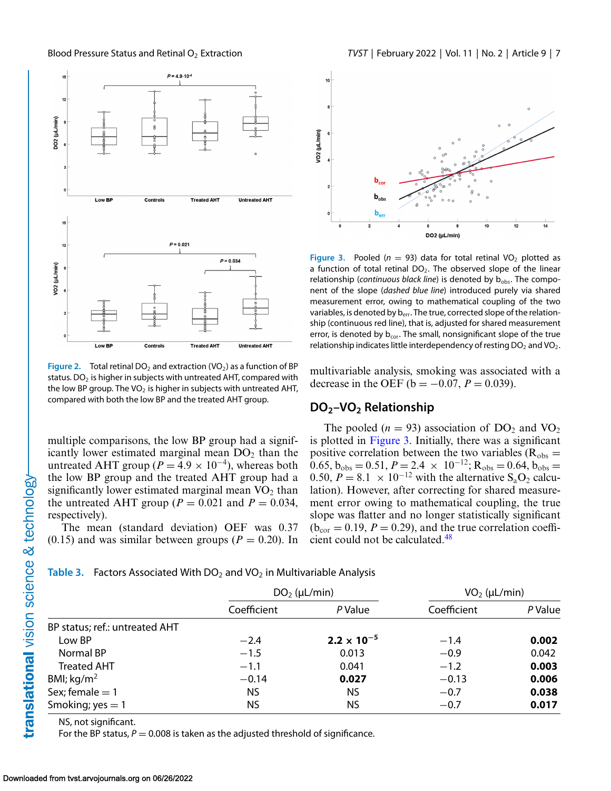<span id="page-6-0"></span>

**Figure 2.** Total retinal DO<sub>2</sub> and extraction (VO<sub>2</sub>) as a function of BP status. DO<sub>2</sub> is higher in subjects with untreated AHT, compared with the low BP group. The VO<sub>2</sub> is higher in subjects with untreated AHT, compared with both the low BP and the treated AHT group.

multiple comparisons, the low BP group had a significantly lower estimated marginal mean  $DO<sub>2</sub>$  than the untreated AHT group ( $P = 4.9 \times 10^{-4}$ ), whereas both the low BP group and the treated AHT group had a significantly lower estimated marginal mean  $VO<sub>2</sub>$  than the untreated AHT group ( $P = 0.021$  and  $P = 0.034$ , respectively).

The mean (standard deviation) OEF was 0.37  $(0.15)$  and was similar between groups ( $P = 0.20$ ). In



**Figure 3.** Pooled ( $n = 93$ ) data for total retinal VO<sub>2</sub> plotted as a function of total retinal  $DO<sub>2</sub>$ . The observed slope of the linear relationship (*continuous black line*) is denoted by b<sub>obs</sub>. The component of the slope (*dashed blue line*) introduced purely via shared measurement error, owing to mathematical coupling of the two variables, is denoted by b<sub>err</sub>. The true, corrected slope of the relationship (continuous red line), that is, adjusted for shared measurement error, is denoted by  $b_{cor}$ . The small, nonsignificant slope of the true relationship indicates little interdependency of resting  $DO<sub>2</sub>$  and  $VO<sub>2</sub>$ .

multivariable analysis, smoking was associated with a decrease in the OEF ( $b = -0.07$ ,  $P = 0.039$ ).

#### **DO2–VO2 Relationship**

The pooled ( $n = 93$ ) association of DO<sub>2</sub> and VO<sub>2</sub> is plotted in Figure 3. Initially, there was a significant positive correlation between the two variables ( $R_{obs}$  =  $\overline{0.65}$ ,  $\overline{b}_{\text{obs}} = 0.51$ ,  $P = 2.4 \times 10^{-12}$ ;  $R_{\text{obs}} = 0.64$ ,  $\overline{b}_{\text{obs}} = 0.51$ 0.50,  $P = 8.1 \times 10^{-12}$  with the alternative S<sub>a</sub>O<sub>2</sub> calculation). However, after correcting for shared measurement error owing to mathematical coupling, the true slope was flatter and no longer statistically significant  $(b_{cor} = 0.19, P = 0.29)$ , and the true correlation coefficient could not be calculated.<sup>48</sup>

#### **Table 3.** Factors Associated With  $DO<sub>2</sub>$  and  $VO<sub>2</sub>$  in Multivariable Analysis

|                                |             | $DO2$ (µL/min)       | $VO2$ (µL/min) |         |
|--------------------------------|-------------|----------------------|----------------|---------|
|                                | Coefficient | P Value              | Coefficient    | P Value |
| BP status; ref.: untreated AHT |             |                      |                |         |
| Low BP                         | $-2.4$      | $2.2 \times 10^{-5}$ | $-1.4$         | 0.002   |
| Normal BP                      | $-1.5$      | 0.013                | $-0.9$         | 0.042   |
| <b>Treated AHT</b>             | $-1.1$      | 0.041                | $-1.2$         | 0.003   |
| BMI; $kg/m2$                   | $-0.14$     | 0.027                | $-0.13$        | 0.006   |
| Sex; female $= 1$              | <b>NS</b>   | NS                   | $-0.7$         | 0.038   |
| Smoking; $yes = 1$             | ΝS          | NS                   | $-0.7$         | 0.017   |

NS, not significant.

For the BP status,  $P = 0.008$  is taken as the adjusted threshold of significance.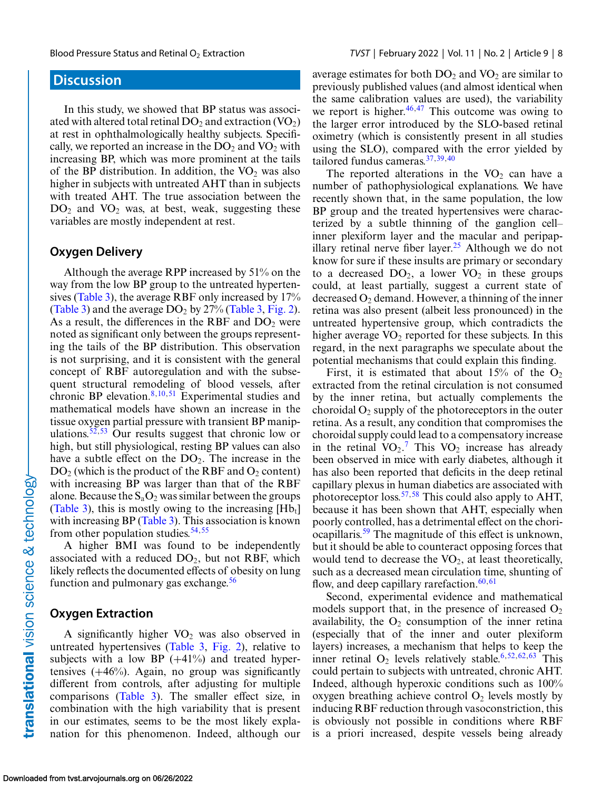## **Discussion**

In this study, we showed that BP status was associated with altered total retinal DO<sub>2</sub> and extraction  $(VO<sub>2</sub>)$ at rest in ophthalmologically healthy subjects. Specifically, we reported an increase in the  $DO<sub>2</sub>$  and  $VO<sub>2</sub>$  with increasing BP, which was more prominent at the tails of the BP distribution. In addition, the  $VO<sub>2</sub>$  was also higher in subjects with untreated AHT than in subjects with treated AHT. The true association between the  $DO<sub>2</sub>$  and  $VO<sub>2</sub>$  was, at best, weak, suggesting these variables are mostly independent at rest.

#### **Oxygen Delivery**

Although the average RPP increased by 51% on the way from the low BP group to the untreated hypertensives [\(Table 3\)](#page-6-0), the average RBF only increased by 17% [\(Table 3\)](#page-6-0) and the average  $DO<sub>2</sub>$  by 27% [\(Table 3,](#page-6-0) [Fig. 2\)](#page-6-0). As a result, the differences in the RBF and  $DO<sub>2</sub>$  were noted as significant only between the groups representing the tails of the BP distribution. This observation is not surprising, and it is consistent with the general concept of RBF autoregulation and with the subsequent structural remodeling of blood vessels, after chronic BP elevation.<sup>8,10,[51](#page-11-0)</sup> Experimental studies and mathematical models have shown an increase in the tissue oxygen partial pressure with transient BP manip-ulations.<sup>[52,53](#page-11-0)</sup> Our results suggest that chronic low or high, but still physiological, resting BP values can also have a subtle effect on the  $DO<sub>2</sub>$ . The increase in the  $DO<sub>2</sub>$  (which is the product of the RBF and  $O<sub>2</sub>$  content) with increasing BP was larger than that of the RBF alone. Because the  $S_aO_2$  was similar between the groups [\(Table 3\)](#page-6-0), this is mostly owing to the increasing  $[Hb_1]$ with increasing BP [\(Table 3\)](#page-6-0). This association is known from other population studies.  $54,55$ 

A higher BMI was found to be independently associated with a reduced  $DO<sub>2</sub>$ , but not RBF, which likely reflects the documented effects of obesity on lung function and pulmonary gas exchange. $56$ 

#### **Oxygen Extraction**

A significantly higher  $VO<sub>2</sub>$  was also observed in untreated hypertensives [\(Table 3,](#page-6-0) [Fig. 2\)](#page-6-0), relative to subjects with a low BP  $(+41\%)$  and treated hypertensives  $(+46%)$ . Again, no group was significantly different from controls, after adjusting for multiple comparisons [\(Table 3\)](#page-6-0). The smaller effect size, in combination with the high variability that is present in our estimates, seems to be the most likely explanation for this phenomenon. Indeed, although our average estimates for both  $DO<sub>2</sub>$  and  $VO<sub>2</sub>$  are similar to previously published values (and almost identical when the same calibration values are used), the variability we report is higher. $46,47$  This outcome was owing to the larger error introduced by the SLO-based retinal oximetry (which is consistently present in all studies using the SLO), compared with the error yielded by tailored fundus cameras.[37,39,40](#page-10-0)

The reported alterations in the  $VO<sub>2</sub>$  can have a number of pathophysiological explanations. We have recently shown that, in the same population, the low BP group and the treated hypertensives were characterized by a subtle thinning of the ganglion cell– inner plexiform layer and the macular and peripap-illary retinal nerve fiber layer.<sup>[25](#page-10-0)</sup> Although we do not know for sure if these insults are primary or secondary to a decreased  $DO<sub>2</sub>$ , a lower  $VO<sub>2</sub>$  in these groups could, at least partially, suggest a current state of decreased  $O_2$  demand. However, a thinning of the inner retina was also present (albeit less pronounced) in the untreated hypertensive group, which contradicts the higher average  $VO<sub>2</sub>$  reported for these subjects. In this regard, in the next paragraphs we speculate about the potential mechanisms that could explain this finding.

First, it is estimated that about  $15\%$  of the O<sub>2</sub> extracted from the retinal circulation is not consumed by the inner retina, but actually complements the choroidal  $O_2$  supply of the photoreceptors in the outer retina. As a result, any condition that compromises the choroidal supply could lead to a compensatory increase in the retinal  $VO_2$ .<sup>[7](#page-9-0)</sup> This  $VO_2$  increase has already been observed in mice with early diabetes, although it has also been reported that deficits in the deep retinal capillary plexus in human diabetics are associated with photoreceptor loss.<sup>[57,58](#page-11-0)</sup> This could also apply to AHT, because it has been shown that AHT, especially when poorly controlled, has a detrimental effect on the choriocapillaris.<sup>59</sup> The magnitude of this effect is unknown, but it should be able to counteract opposing forces that would tend to decrease the  $VO<sub>2</sub>$ , at least theoretically, such as a decreased mean circulation time, shunting of flow, and deep capillary rarefaction.<sup>[60,61](#page-11-0)</sup>

Second, experimental evidence and mathematical models support that, in the presence of increased  $O_2$ availability, the  $O_2$  consumption of the inner retina (especially that of the inner and outer plexiform layers) increases, a mechanism that helps to keep the inner retinal  $O_2$  levels relatively stable.<sup>[6,](#page-9-0)[52,62,63](#page-11-0)</sup> This could pertain to subjects with untreated, chronic AHT. Indeed, although hyperoxic conditions such as 100% oxygen breathing achieve control  $O_2$  levels mostly by inducing RBF reduction through vasoconstriction, this is obviously not possible in conditions where RBF is a priori increased, despite vessels being already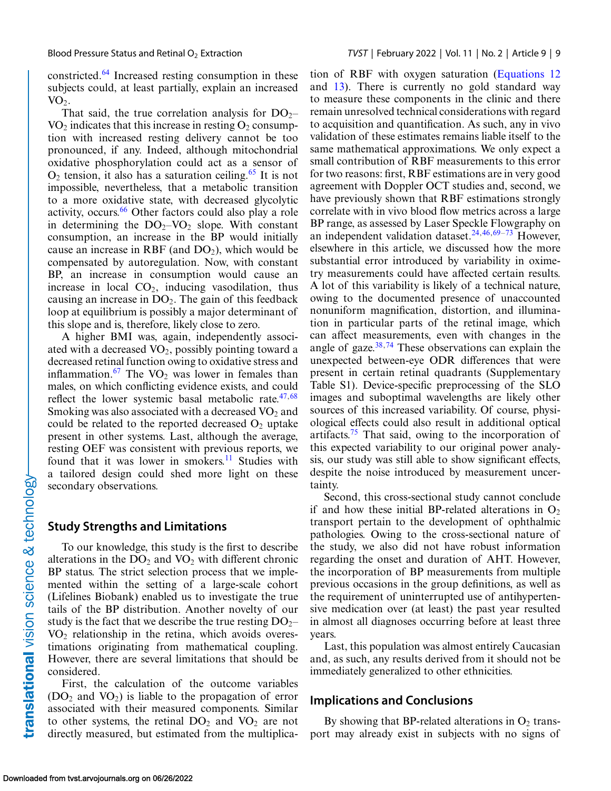constricted[.64](#page-11-0) Increased resting consumption in these subjects could, at least partially, explain an increased  $VO<sub>2</sub>$ .

That said, the true correlation analysis for  $DO_{2}$ –  $VO<sub>2</sub>$  indicates that this increase in resting  $O<sub>2</sub>$  consumption with increased resting delivery cannot be too pronounced, if any. Indeed, although mitochondrial oxidative phosphorylation could act as a sensor of  $O_2$  tension, it also has a saturation ceiling.<sup>[65](#page-11-0)</sup> It is not impossible, nevertheless, that a metabolic transition to a more oxidative state, with decreased glycolytic activity, occurs.<sup>[66](#page-11-0)</sup> Other factors could also play a role in determining the  $DO<sub>2</sub>-VO<sub>2</sub>$  slope. With constant consumption, an increase in the BP would initially cause an increase in RBF (and  $DO<sub>2</sub>$ ), which would be compensated by autoregulation. Now, with constant BP, an increase in consumption would cause an increase in local  $CO<sub>2</sub>$ , inducing vasodilation, thus causing an increase in  $DO<sub>2</sub>$ . The gain of this feedback loop at equilibrium is possibly a major determinant of this slope and is, therefore, likely close to zero.

A higher BMI was, again, independently associated with a decreased  $VO<sub>2</sub>$ , possibly pointing toward a decreased retinal function owing to oxidative stress and inflammation.<sup>[67](#page-12-0)</sup> The  $VO<sub>2</sub>$  was lower in females than males, on which conflicting evidence exists, and could reflect the lower systemic basal metabolic rate. $47,68$  $47,68$ Smoking was also associated with a decreased  $VO<sub>2</sub>$  and could be related to the reported decreased  $O<sub>2</sub>$  uptake present in other systems. Last, although the average, resting OEF was consistent with previous reports, we found that it was lower in smokers.<sup>11</sup> Studies with a tailored design could shed more light on these secondary observations.

#### **Study Strengths and Limitations**

To our knowledge, this study is the first to describe alterations in the  $DO<sub>2</sub>$  and  $VO<sub>2</sub>$  with different chronic BP status. The strict selection process that we implemented within the setting of a large-scale cohort (Lifelines Biobank) enabled us to investigate the true tails of the BP distribution. Another novelty of our study is the fact that we describe the true resting  $DO_{2}$ –  $VO<sub>2</sub>$  relationship in the retina, which avoids overestimations originating from mathematical coupling. However, there are several limitations that should be considered.

First, the calculation of the outcome variables  $(DO<sub>2</sub>$  and  $VO<sub>2</sub>)$  is liable to the propagation of error associated with their measured components. Similar to other systems, the retinal  $DO<sub>2</sub>$  and  $VO<sub>2</sub>$  are not directly measured, but estimated from the multiplica-

tion of RBF with oxygen saturation [\(Equations 12](#page-4-0) and [13\)](#page-4-0). There is currently no gold standard way to measure these components in the clinic and there remain unresolved technical considerations with regard to acquisition and quantification. As such, any in vivo validation of these estimates remains liable itself to the same mathematical approximations. We only expect a small contribution of RBF measurements to this error for two reasons: first, RBF estimations are in very good agreement with Doppler OCT studies and, second, we have previously shown that RBF estimations strongly correlate with in vivo blood flow metrics across a large BP range, as assessed by Laser Speckle Flowgraphy on an independent validation dataset.<sup>[24,](#page-10-0)[46,](#page-11-0)[69–73](#page-12-0)</sup> However, elsewhere in this article, we discussed how the more substantial error introduced by variability in oximetry measurements could have affected certain results. A lot of this variability is likely of a technical nature, owing to the documented presence of unaccounted nonuniform magnification, distortion, and illumination in particular parts of the retinal image, which can affect measurements, even with changes in the angle of gaze. $38,74$  $38,74$  These observations can explain the unexpected between-eye ODR differences that were present in certain retinal quadrants (Supplementary Table S1). Device-specific preprocessing of the SLO images and suboptimal wavelengths are likely other sources of this increased variability. Of course, physiological effects could also result in additional optical artifacts.<sup>75</sup> That said, owing to the incorporation of this expected variability to our original power analysis, our study was still able to show significant effects, despite the noise introduced by measurement uncertainty.

Second, this cross-sectional study cannot conclude if and how these initial BP-related alterations in  $O_2$ transport pertain to the development of ophthalmic pathologies. Owing to the cross-sectional nature of the study, we also did not have robust information regarding the onset and duration of AHT. However, the incorporation of BP measurements from multiple previous occasions in the group definitions, as well as the requirement of uninterrupted use of antihypertensive medication over (at least) the past year resulted in almost all diagnoses occurring before at least three years.

Last, this population was almost entirely Caucasian and, as such, any results derived from it should not be immediately generalized to other ethnicities.

#### **Implications and Conclusions**

By showing that BP-related alterations in  $O_2$  transport may already exist in subjects with no signs of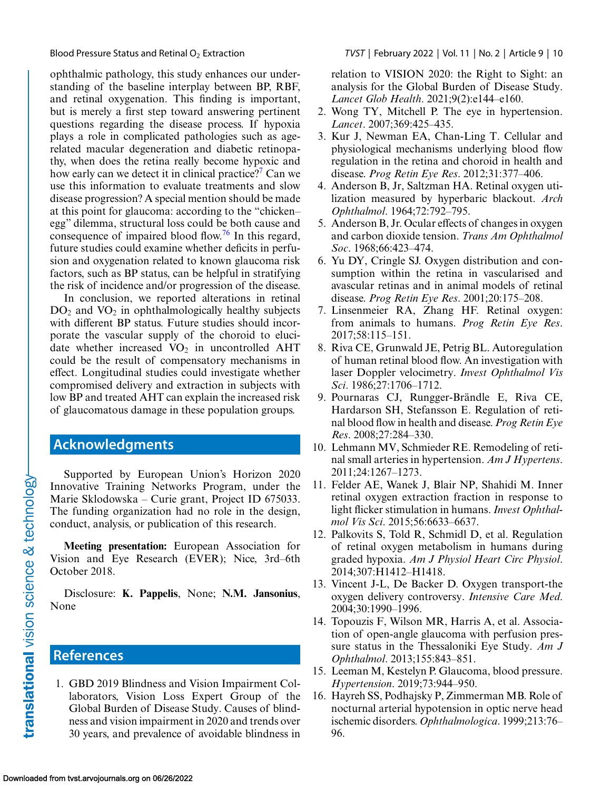<span id="page-9-0"></span>

ophthalmic pathology, this study enhances our understanding of the baseline interplay between BP, RBF, and retinal oxygenation. This finding is important, but is merely a first step toward answering pertinent questions regarding the disease process. If hypoxia plays a role in complicated pathologies such as agerelated macular degeneration and diabetic retinopathy, when does the retina really become hypoxic and how early can we detect it in clinical practice?<sup>7</sup> Can we use this information to evaluate treatments and slow disease progression? A special mention should be made at this point for glaucoma: according to the "chicken– egg" dilemma, structural loss could be both cause and consequence of impaired blood flow.<sup>76</sup> In this regard, future studies could examine whether deficits in perfusion and oxygenation related to known glaucoma risk factors, such as BP status, can be helpful in stratifying the risk of incidence and/or progression of the disease.

In conclusion, we reported alterations in retinal  $DO<sub>2</sub>$  and  $VO<sub>2</sub>$  in ophthalmologically healthy subjects with different BP status. Future studies should incorporate the vascular supply of the choroid to elucidate whether increased  $VO<sub>2</sub>$  in uncontrolled AHT could be the result of compensatory mechanisms in effect. Longitudinal studies could investigate whether compromised delivery and extraction in subjects with low BP and treated AHT can explain the increased risk of glaucomatous damage in these population groups.

# **Acknowledgments**

Supported by European Union's Horizon 2020 Innovative Training Networks Program, under the Marie Sklodowska – Curie grant, Project ID 675033. The funding organization had no role in the design, conduct, analysis, or publication of this research.

**Meeting presentation:** European Association for Vision and Eye Research (EVER); Nice, 3rd–6th October 2018.

Disclosure: **K. Pappelis**, None; **N.M. Jansonius**, None

# **References**

1. GBD 2019 Blindness and Vision Impairment Collaborators, Vision Loss Expert Group of the Global Burden of Disease Study. Causes of blindness and vision impairment in 2020 and trends over 30 years, and prevalence of avoidable blindness in relation to VISION 2020: the Right to Sight: an analysis for the Global Burden of Disease Study. *Lancet Glob Health*. 2021;9(2):e144–e160.

- 2. Wong TY, Mitchell P. The eye in hypertension. *Lancet*. 2007;369:425–435.
- 3. Kur J, Newman EA, Chan-Ling T. Cellular and physiological mechanisms underlying blood flow regulation in the retina and choroid in health and disease. *Prog Retin Eye Res*. 2012;31:377–406.
- 4. Anderson B, Jr, Saltzman HA. Retinal oxygen utilization measured by hyperbaric blackout. *Arch Ophthalmol*. 1964;72:792–795.
- 5. Anderson B, Jr. Ocular effects of changes in oxygen and carbon dioxide tension. *Trans Am Ophthalmol Soc*. 1968;66:423–474.
- 6. Yu DY, Cringle SJ. Oxygen distribution and consumption within the retina in vascularised and avascular retinas and in animal models of retinal disease. *Prog Retin Eye Res*. 2001;20:175–208.
- 7. Linsenmeier RA, Zhang HF. Retinal oxygen: from animals to humans. *Prog Retin Eye Res*. 2017;58:115–151.
- 8. Riva CE, Grunwald JE, Petrig BL. Autoregulation of human retinal blood flow. An investigation with laser Doppler velocimetry. *Invest Ophthalmol Vis Sci*. 1986;27:1706–1712.
- 9. Pournaras CJ, Rungger-Brändle E, Riva CE, Hardarson SH, Stefansson E. Regulation of retinal blood flow in health and disease. *Prog Retin Eye Res*. 2008;27:284–330.
- 10. Lehmann MV, Schmieder RE. Remodeling of retinal small arteries in hypertension. *Am J Hypertens*. 2011;24:1267–1273.
- 11. Felder AE, Wanek J, Blair NP, Shahidi M. Inner retinal oxygen extraction fraction in response to light flicker stimulation in humans. *Invest Ophthalmol Vis Sci*. 2015;56:6633–6637.
- 12. Palkovits S, Told R, Schmidl D, et al. Regulation of retinal oxygen metabolism in humans during graded hypoxia. *Am J Physiol Heart Circ Physiol*. 2014;307:H1412–H1418.
- 13. Vincent J-L, De Backer D. Oxygen transport-the oxygen delivery controversy. *Intensive Care Med*. 2004;30:1990–1996.
- 14. Topouzis F, Wilson MR, Harris A, et al. Association of open-angle glaucoma with perfusion pressure status in the Thessaloniki Eye Study. *Am J Ophthalmol*. 2013;155:843–851.
- 15. Leeman M, Kestelyn P. Glaucoma, blood pressure. *Hypertension*. 2019;73:944–950.
- 16. Hayreh SS, Podhajsky P, Zimmerman MB. Role of nocturnal arterial hypotension in optic nerve head ischemic disorders. *Ophthalmologica*. 1999;213:76– 96.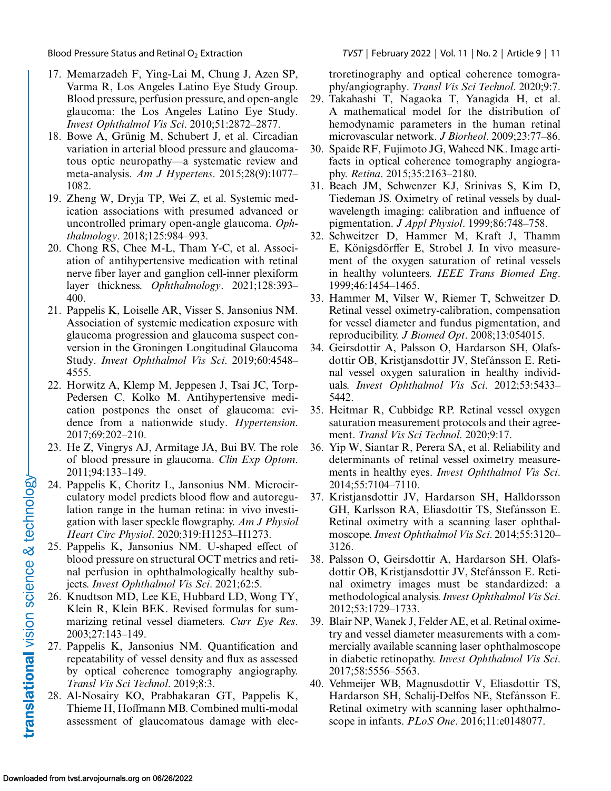- 17. Memarzadeh F, Ying-Lai M, Chung J, Azen SP, Varma R, Los Angeles Latino Eye Study Group. Blood pressure, perfusion pressure, and open-angle glaucoma: the Los Angeles Latino Eye Study. *Invest Ophthalmol Vis Sci*. 2010;51:2872–2877.
- 18. Bowe A, Grünig M, Schubert J, et al. Circadian variation in arterial blood pressure and glaucomatous optic neuropathy—a systematic review and meta-analysis. *Am J Hypertens*. 2015;28(9):1077– 1082.
- 19. Zheng W, Dryja TP, Wei Z, et al. Systemic medication associations with presumed advanced or uncontrolled primary open-angle glaucoma. *Ophthalmology*. 2018;125:984–993.
- 20. Chong RS, Chee M-L, Tham Y-C, et al. Association of antihypertensive medication with retinal nerve fiber layer and ganglion cell-inner plexiform layer thickness. *Ophthalmology*. 2021;128:393– 400.
- 21. Pappelis K, Loiselle AR, Visser S, Jansonius NM. Association of systemic medication exposure with glaucoma progression and glaucoma suspect conversion in the Groningen Longitudinal Glaucoma Study. *Invest Ophthalmol Vis Sci*. 2019;60:4548– 4555.
- 22. Horwitz A, Klemp M, Jeppesen J, Tsai JC, Torp-Pedersen C, Kolko M. Antihypertensive medication postpones the onset of glaucoma: evidence from a nationwide study. *Hypertension*. 2017;69:202–210.
- 23. He Z, Vingrys AJ, Armitage JA, Bui BV. The role of blood pressure in glaucoma. *Clin Exp Optom*. 2011;94:133–149.
- 24. Pappelis K, Choritz L, Jansonius NM. Microcirculatory model predicts blood flow and autoregulation range in the human retina: in vivo investigation with laser speckle flowgraphy. *Am J Physiol Heart Circ Physiol*. 2020;319:H1253–H1273.
- 25. Pappelis K, Jansonius NM. U-shaped effect of blood pressure on structural OCT metrics and retinal perfusion in ophthalmologically healthy subjects. *Invest Ophthalmol Vis Sci*. 2021;62:5.
- 26. Knudtson MD, Lee KE, Hubbard LD, Wong TY, Klein R, Klein BEK. Revised formulas for summarizing retinal vessel diameters. *Curr Eye Res*. 2003;27:143–149.
- 27. Pappelis K, Jansonius NM. Quantification and repeatability of vessel density and flux as assessed by optical coherence tomography angiography. *Transl Vis Sci Technol*. 2019;8:3.
- 28. Al-Nosairy KO, Prabhakaran GT, Pappelis K, Thieme H, Hoffmann MB. Combined multi-modal assessment of glaucomatous damage with elec-

<span id="page-10-0"></span>Blood Pressure Status and Retinal O2 Extraction *TVST* | February 2022 | Vol. 11 | No. 2 | Article 9 | 11

troretinography and optical coherence tomography/angiography. *Transl Vis Sci Technol*. 2020;9:7.

- 29. Takahashi T, Nagaoka T, Yanagida H, et al. A mathematical model for the distribution of hemodynamic parameters in the human retinal microvascular network. *J Biorheol*. 2009;23:77–86.
- 30. Spaide RF, Fujimoto JG, Waheed NK. Image artifacts in optical coherence tomography angiography. *Retina*. 2015;35:2163–2180.
- 31. Beach JM, Schwenzer KJ, Srinivas S, Kim D, Tiedeman JS. Oximetry of retinal vessels by dualwavelength imaging: calibration and influence of pigmentation. *J Appl Physiol*. 1999;86:748–758.
- 32. Schweitzer D, Hammer M, Kraft J, Thamm E, Königsdörffer E, Strobel J. In vivo measurement of the oxygen saturation of retinal vessels in healthy volunteers. *IEEE Trans Biomed Eng*. 1999;46:1454–1465.
- 33. Hammer M, Vilser W, Riemer T, Schweitzer D. Retinal vessel oximetry-calibration, compensation for vessel diameter and fundus pigmentation, and reproducibility. *J Biomed Opt*. 2008;13:054015.
- 34. Geirsdottir A, Palsson O, Hardarson SH, Olafsdottir OB, Kristjansdottir JV, Stefánsson E. Retinal vessel oxygen saturation in healthy individuals. *Invest Ophthalmol Vis Sci*. 2012;53:5433– 5442.
- 35. Heitmar R, Cubbidge RP. Retinal vessel oxygen saturation measurement protocols and their agreement. *Transl Vis Sci Technol*. 2020;9:17.
- 36. Yip W, Siantar R, Perera SA, et al. Reliability and determinants of retinal vessel oximetry measurements in healthy eyes. *Invest Ophthalmol Vis Sci*. 2014;55:7104–7110.
- 37. Kristjansdottir JV, Hardarson SH, Halldorsson GH, Karlsson RA, Eliasdottir TS, Stefánsson E. Retinal oximetry with a scanning laser ophthalmoscope.*Invest Ophthalmol Vis Sci*. 2014;55:3120– 3126.
- 38. Palsson O, Geirsdottir A, Hardarson SH, Olafsdottir OB, Kristjansdottir JV, Stefánsson E. Retinal oximetry images must be standardized: a methodological analysis.*Invest Ophthalmol Vis Sci*. 2012;53:1729–1733.
- 39. Blair NP, Wanek J, Felder AE, et al. Retinal oximetry and vessel diameter measurements with a commercially available scanning laser ophthalmoscope in diabetic retinopathy. *Invest Ophthalmol Vis Sci*. 2017;58:5556–5563.
- 40. Vehmeijer WB, Magnusdottir V, Eliasdottir TS, Hardarson SH, Schalij-Delfos NE, Stefánsson E. Retinal oximetry with scanning laser ophthalmoscope in infants. *PLoS One*. 2016;11:e0148077.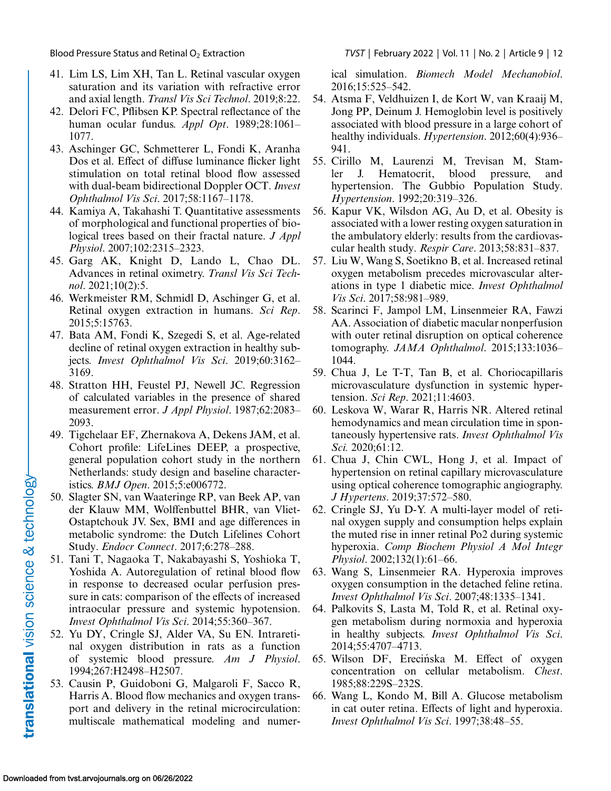- 41. Lim LS, Lim XH, Tan L. Retinal vascular oxygen saturation and its variation with refractive error and axial length. *Transl Vis Sci Technol*. 2019;8:22.
- 42. Delori FC, Pflibsen KP. Spectral reflectance of the human ocular fundus. *Appl Opt*. 1989;28:1061– 1077.
- 43. Aschinger GC, Schmetterer L, Fondi K, Aranha Dos et al. Effect of diffuse luminance flicker light stimulation on total retinal blood flow assessed with dual-beam bidirectional Doppler OCT. *Invest Ophthalmol Vis Sci*. 2017;58:1167–1178.
- 44. Kamiya A, Takahashi T. Quantitative assessments of morphological and functional properties of biological trees based on their fractal nature. *J Appl Physiol*. 2007;102:2315–2323.
- 45. Garg AK, Knight D, Lando L, Chao DL. Advances in retinal oximetry. *Transl Vis Sci Technol*. 2021;10(2):5.
- 46. Werkmeister RM, Schmidl D, Aschinger G, et al. Retinal oxygen extraction in humans. *Sci Rep*. 2015;5:15763.
- 47. Bata AM, Fondi K, Szegedi S, et al. Age-related decline of retinal oxygen extraction in healthy subjects. *Invest Ophthalmol Vis Sci*. 2019;60:3162– 3169.
- 48. Stratton HH, Feustel PJ, Newell JC. Regression of calculated variables in the presence of shared measurement error. *J Appl Physiol*. 1987;62:2083– 2093.
- 49. Tigchelaar EF, Zhernakova A, Dekens JAM, et al. Cohort profile: LifeLines DEEP, a prospective, general population cohort study in the northern Netherlands: study design and baseline characteristics. *BMJ Open*. 2015;5:e006772.
- 50. Slagter SN, van Waateringe RP, van Beek AP, van der Klauw MM, Wolffenbuttel BHR, van Vliet-Ostaptchouk JV. Sex, BMI and age differences in metabolic syndrome: the Dutch Lifelines Cohort Study. *Endocr Connect*. 2017;6:278–288.
- 51. Tani T, Nagaoka T, Nakabayashi S, Yoshioka T, Yoshida A. Autoregulation of retinal blood flow in response to decreased ocular perfusion pressure in cats: comparison of the effects of increased intraocular pressure and systemic hypotension. *Invest Ophthalmol Vis Sci*. 2014;55:360–367.
- 52. Yu DY, Cringle SJ, Alder VA, Su EN. Intraretinal oxygen distribution in rats as a function of systemic blood pressure. *Am J Physiol*. 1994;267:H2498–H2507.
- 53. Causin P, Guidoboni G, Malgaroli F, Sacco R, Harris A. Blood flow mechanics and oxygen transport and delivery in the retinal microcirculation: multiscale mathematical modeling and numer-

<span id="page-11-0"></span>Blood Pressure Status and Retinal O2 Extraction *TVST* | February 2022 | Vol. 11 | No. 2 | Article 9 | 12

ical simulation. *Biomech Model Mechanobiol*. 2016;15:525–542.

- 54. Atsma F, Veldhuizen I, de Kort W, van Kraaij M, Jong PP, Deinum J. Hemoglobin level is positively associated with blood pressure in a large cohort of healthy individuals. *Hypertension*. 2012;60(4):936– 941.
- 55. Cirillo M, Laurenzi M, Trevisan M, Stamler J. Hematocrit, blood pressure, and hypertension. The Gubbio Population Study. *Hypertension*. 1992;20:319–326.
- 56. Kapur VK, Wilsdon AG, Au D, et al. Obesity is associated with a lower resting oxygen saturation in the ambulatory elderly: results from the cardiovascular health study. *Respir Care*. 2013;58:831–837.
- 57. Liu W, Wang S, Soetikno B, et al. Increased retinal oxygen metabolism precedes microvascular alterations in type 1 diabetic mice. *Invest Ophthalmol Vis Sci*. 2017;58:981–989.
- 58. Scarinci F, Jampol LM, Linsenmeier RA, Fawzi AA. Association of diabetic macular nonperfusion with outer retinal disruption on optical coherence tomography. *JAMA Ophthalmol*. 2015;133:1036– 1044.
- 59. Chua J, Le T-T, Tan B, et al. Choriocapillaris microvasculature dysfunction in systemic hypertension. *Sci Rep*. 2021;11:4603.
- 60. Leskova W, Warar R, Harris NR. Altered retinal hemodynamics and mean circulation time in spontaneously hypertensive rats. *Invest Ophthalmol Vis Sci.* 2020;61:12.
- 61. Chua J, Chin CWL, Hong J, et al. Impact of hypertension on retinal capillary microvasculature using optical coherence tomographic angiography. *J Hypertens*. 2019;37:572–580.
- 62. Cringle SJ, Yu D-Y. A multi-layer model of retinal oxygen supply and consumption helps explain the muted rise in inner retinal Po2 during systemic hyperoxia. *Comp Biochem Physiol A Mol Integr Physiol*. 2002;132(1):61–66.
- 63. Wang S, Linsenmeier RA. Hyperoxia improves oxygen consumption in the detached feline retina. *Invest Ophthalmol Vis Sci*. 2007;48:1335–1341.
- 64. Palkovits S, Lasta M, Told R, et al. Retinal oxygen metabolism during normoxia and hyperoxia in healthy subjects. *Invest Ophthalmol Vis Sci*. 2014;55:4707–4713.
- 65. Wilson DF, Erecińska M. Effect of oxygen concentration on cellular metabolism. *Chest*. 1985;88:229S–232S.
- 66. Wang L, Kondo M, Bill A. Glucose metabolism in cat outer retina. Effects of light and hyperoxia. *Invest Ophthalmol Vis Sci*. 1997;38:48–55.